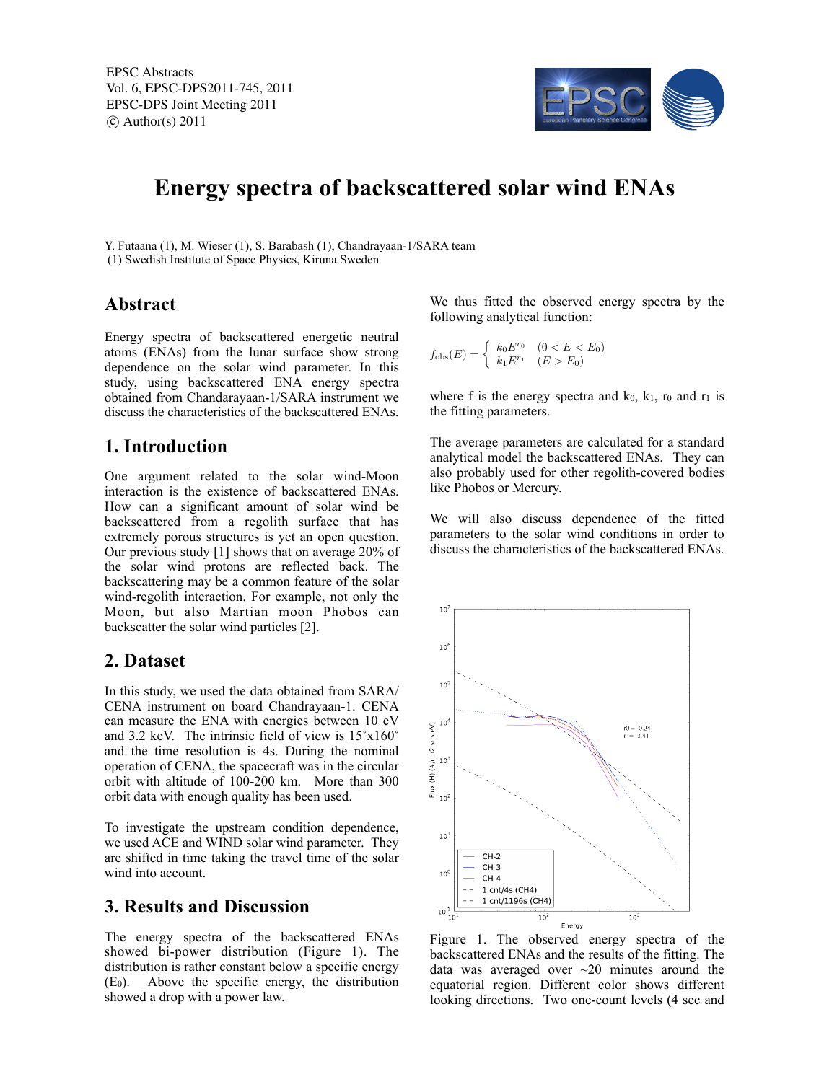EPSC Abstracts Vol. 6, EPSC-DPS2011-745, 2011 EPSC-DPS Joint Meeting 2011  $\circ$  Author(s) 2011



# **Energy spectra of backscattered solar wind ENAs**

Y. Futaana (1), M. Wieser (1), S. Barabash (1), Chandrayaan-1/SARA team (1) Swedish Institute of Space Physics, Kiruna Sweden

# **Abstract**

Energy spectra of backscattered energetic neutral atoms (ENAs) from the lunar surface show strong dependence on the solar wind parameter. In this study, using backscattered ENA energy spectra obtained from Chandarayaan-1/SARA instrument we discuss the characteristics of the backscattered ENAs.

# **1. Introduction**

One argument related to the solar wind-Moon interaction is the existence of backscattered ENAs. How can a significant amount of solar wind be backscattered from a regolith surface that has extremely porous structures is yet an open question. Our previous study [1] shows that on average 20% of the solar wind protons are reflected back. The backscattering may be a common feature of the solar wind-regolith interaction. For example, not only the Moon, but also Martian moon Phobos can backscatter the solar wind particles [2].

#### **2. Dataset**

In this study, we used the data obtained from SARA/ CENA instrument on board Chandrayaan-1. CENA can measure the ENA with energies between 10 eV and 3.2 keV. The intrinsic field of view is 15˚x160˚ and the time resolution is 4s. During the nominal operation of CENA, the spacecraft was in the circular orbit with altitude of 100-200 km. More than 300 orbit data with enough quality has been used.

To investigate the upstream condition dependence, we used ACE and WIND solar wind parameter. They are shifted in time taking the travel time of the solar wind into account.

## **3. Results and Discussion**

The energy spectra of the backscattered ENAs showed bi-power distribution (Figure 1). The distribution is rather constant below a specific energy (E0). Above the specific energy, the distribution showed a drop with a power law.

We thus fitted the observed energy spectra by the following analytical function:

$$
f_{\text{obs}}(E) = \begin{cases} k_0 E^{r_0} & (0 < E < E_0) \\ k_1 E^{r_1} & (E > E_0) \end{cases}
$$

where f is the energy spectra and  $k_0$ ,  $k_1$ ,  $r_0$  and  $r_1$  is the fitting parameters.

The average parameters are calculated for a standard analytical model the backscattered ENAs. They can also probably used for other regolith-covered bodies like Phobos or Mercury.

We will also discuss dependence of the fitted parameters to the solar wind conditions in order to discuss the characteristics of the backscattered ENAs.



Figure 1. The observed energy spectra of the backscattered ENAs and the results of the fitting. The data was averaged over  $\sim$ 20 minutes around the equatorial region. Different color shows different looking directions. Two one-count levels (4 sec and